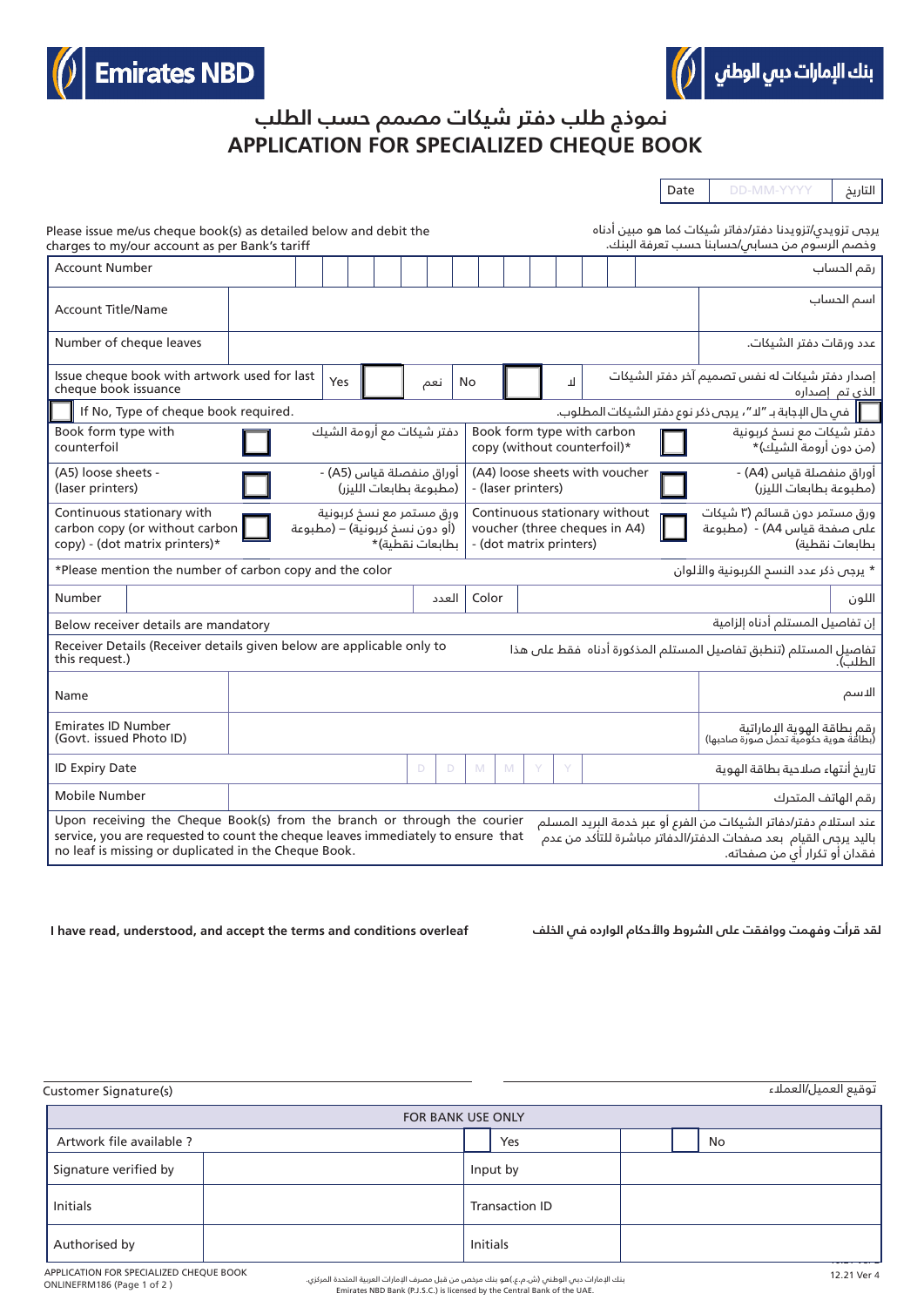



## **APPLICATION FOR SPECIALIZED CHEQUE BOOK نموذج طلب دفتر شيكات مصمم حسب الطلب**

Date DD-MM-YYYY التاريخ

| Please issue me/us cheque book(s) as detailed below and debit the<br>charges to my/our account as per Bank's tariff                                                                                                                                                                                                                                                                              | برجى تزويدى/تزويدنا دفتر/دفاتر شيكات كما هو مبين أدناه<br>وخصم الرسوم من حساس/حسابنا حسب تعرفة البنك. |  |  |
|--------------------------------------------------------------------------------------------------------------------------------------------------------------------------------------------------------------------------------------------------------------------------------------------------------------------------------------------------------------------------------------------------|-------------------------------------------------------------------------------------------------------|--|--|
| <b>Account Number</b>                                                                                                                                                                                                                                                                                                                                                                            | رقم الحساب                                                                                            |  |  |
| <b>Account Title/Name</b>                                                                                                                                                                                                                                                                                                                                                                        | اسم الحساب                                                                                            |  |  |
| Number of cheque leaves                                                                                                                                                                                                                                                                                                                                                                          | عدد ورقات دفتر الشيكات.                                                                               |  |  |
| Issue cheque book with artwork used for last<br><b>Yes</b><br>П<br>No<br>نعم<br>cheque book issuance                                                                                                                                                                                                                                                                                             | إصدار دفتر شيكات له نفس تصميم آخر دفتر الشيكات<br><u>الذي</u> تم إصداره                               |  |  |
| ∏   فم حال الإجابة بـ ″لا "، يرجى ذكر نوع دفتر الشيكات المطلوب.<br>If No, Type of cheque book required.                                                                                                                                                                                                                                                                                          |                                                                                                       |  |  |
| دفتر شيكات مع أرومة الشيك<br>Book form type with<br>Book form type with carbon<br>copy (without counterfoil)*<br>counterfoil                                                                                                                                                                                                                                                                     | دفتر شيكات مع نسخ كربونية<br>(من دون أرومة الشيك)*                                                    |  |  |
| (A4) loose sheets with voucher<br>(A5) loose sheets -<br>أوراق منفصلة قياس (A5) -<br>(مطبوعة بطابعات الليزر)<br>(laser printers)<br>- (laser printers)                                                                                                                                                                                                                                           | أوراق منفصلة قياس (A4) -<br>(مطبوعة بطابعات الليزر)                                                   |  |  |
| Continuous stationary with<br>ورق مستمر مع نسخ كربونية<br>Continuous stationary without<br>(أو دون نسخ لّربونية) – (مطبوعة<br>carbon copy (or without carbon<br>voucher (three cheques in A4)<br>copy) - (dot matrix printers)*<br>ىطاىعات نقطىة)*<br>- (dot matrix printers)                                                                                                                    | ورق مستمر دون قسائم (۳ شیکات<br>على صفحة قياس A4) - (مطبوعة<br>بطابعات نقطبة)                         |  |  |
| *Please mention the number of carbon copy and the color<br>* يرجى ذكر عدد النسم الكربونية والألوان                                                                                                                                                                                                                                                                                               |                                                                                                       |  |  |
| Number<br>Color<br>العدد                                                                                                                                                                                                                                                                                                                                                                         | اللون                                                                                                 |  |  |
| إن تفاصيل المستلم أدناه إلزامية<br>Below receiver details are mandatory                                                                                                                                                                                                                                                                                                                          |                                                                                                       |  |  |
| Receiver Details (Receiver details given below are applicable only to<br>this request.)                                                                                                                                                                                                                                                                                                          |                                                                                                       |  |  |
| Name                                                                                                                                                                                                                                                                                                                                                                                             | الاسم                                                                                                 |  |  |
| <b>Emirates ID Number</b><br>(Govt. issued Photo ID)                                                                                                                                                                                                                                                                                                                                             | رقم بطاقة الهوية الإماراتية<br>(بطاقة هوية دكومية تحمل صورة صادبها)                                   |  |  |
| <b>ID Expiry Date</b><br>Y<br>Y<br>D<br>D<br>M<br>M                                                                                                                                                                                                                                                                                                                                              | تاريخ أنتهاء صلاحية بطاقة الهوية                                                                      |  |  |
| Mobile Number                                                                                                                                                                                                                                                                                                                                                                                    | رقم الهاتف المتدرك                                                                                    |  |  |
| Upon receiving the Cheque Book(s) from the branch or through the courier<br>عند استلام دفتر/دفاتر الشيكات من الفرع أو عبر خدمة البريد المسلم<br>service, you are requested to count the cheque leaves immediately to ensure that<br>باليد يرجى القيام  بعد صفحات الدفتر/الدِّفاتر مباشرة للتأكد من عدم ٰ<br>no leaf is missing or duplicated in the Cheque Book.<br>فقدان أو تكرار أي من صفحاته. |                                                                                                       |  |  |

لقد قرأت وفهمت ووافقت على الشروط والأـدكام الوارده فـ I have read, understood, and accept the terms and conditions overleaf

توقيع العميل/العملاء (sustomer Signature(s) with the customer Signature (s) with the customer Signature Custome

| FOR BANK USE ONLY        |                       |  |
|--------------------------|-----------------------|--|
| Artwork file available ? | Yes<br>No             |  |
| Signature verified by    | Input by              |  |
| <b>Initials</b>          | <b>Transaction ID</b> |  |
| Authorised by            | <b>Initials</b>       |  |

 ONLINEFRM186 (Page 1 of 2 ) APPLICATION FOR SPECIALIZED CHEQUE BOOK

بنك الإمارات دبي الوطني (ش.م.ع.)هو بنك مرخص من قبل مصرف الإمارات العربية المتحدة المركزي.<br>.Emirates NBD Bank (P.J.S.C.) is licensed by the Central Bank of the UAE